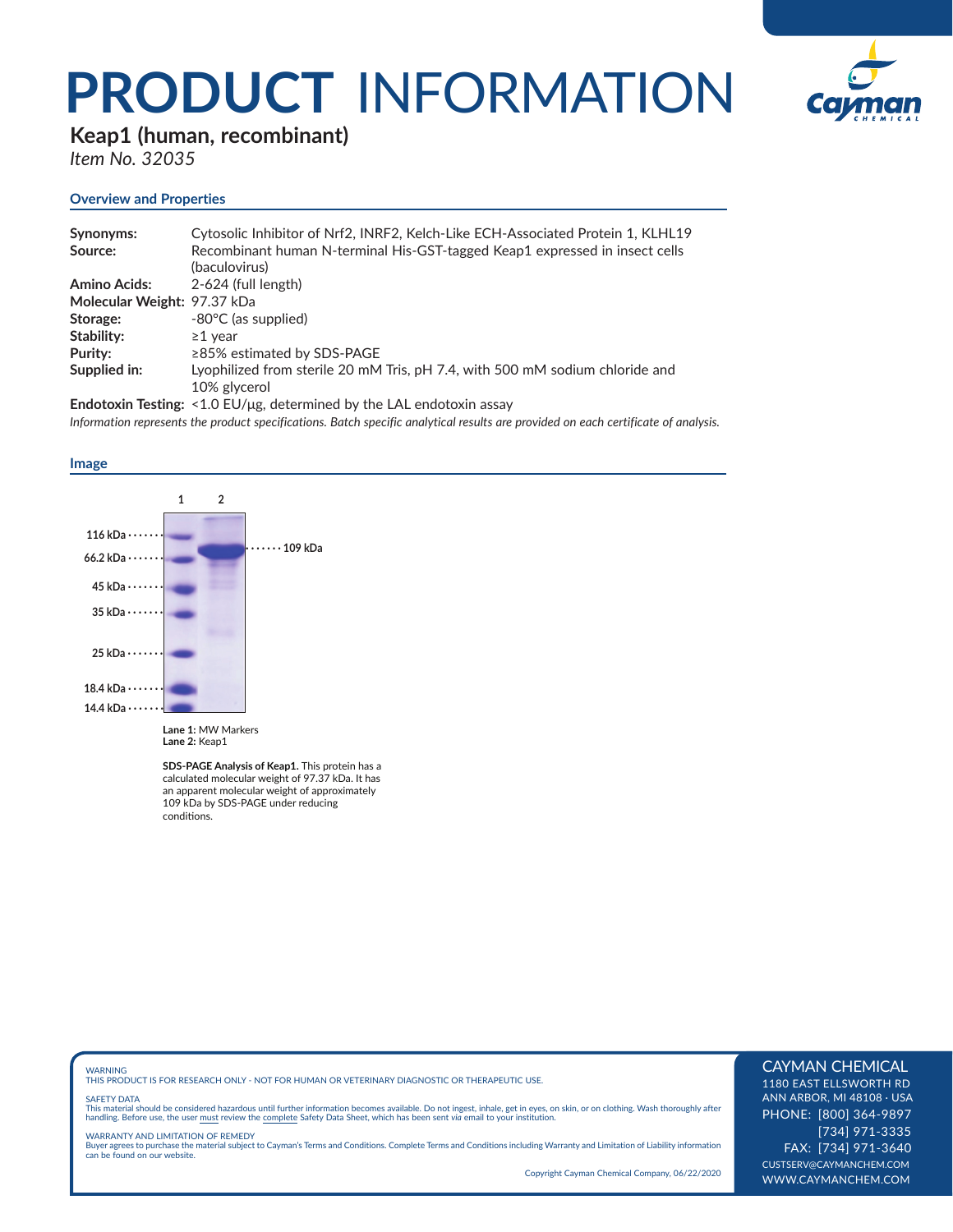## **PRODUCT** INFORMATION



### **Keap1 (human, recombinant)**

*Item No. 32035*

#### **Overview and Properties**

| Synonyms:                   | Cytosolic Inhibitor of Nrf2, INRF2, Kelch-Like ECH-Associated Protein 1, KLHL19 |
|-----------------------------|---------------------------------------------------------------------------------|
| Source:                     | Recombinant human N-terminal His-GST-tagged Keap1 expressed in insect cells     |
|                             | (baculovirus)                                                                   |
| <b>Amino Acids:</b>         | 2-624 (full length)                                                             |
| Molecular Weight: 97.37 kDa |                                                                                 |
| Storage:                    | -80°C (as supplied)                                                             |
| Stability:                  | $\geq$ 1 vear                                                                   |
| Purity:                     | ≥85% estimated by SDS-PAGE                                                      |
| Supplied in:                | Lyophilized from sterile 20 mM Tris, pH 7.4, with 500 mM sodium chloride and    |
|                             | 10% glycerol                                                                    |
|                             |                                                                                 |

**Endotoxin Testing:** <1.0 EU/μg, determined by the LAL endotoxin assay *Information represents the product specifications. Batch specific analytical results are provided on each certificate of analysis.*





**SDS-PAGE Analysis of Keap1.** This protein has a calculated molecular weight of 97.37 kDa. It has an apparent molecular weight of approximately 109 kDa by SDS-PAGE under reducing conditions.

WARNING THIS PRODUCT IS FOR RESEARCH ONLY - NOT FOR HUMAN OR VETERINARY DIAGNOSTIC OR THERAPEUTIC USE.

#### SAFETY DATA

This material should be considered hazardous until further information becomes available. Do not ingest, inhale, get in eyes, on skin, or on clothing. Wash thoroughly after<br>handling. Before use, the user must review the co

WARRANTY AND LIMITATION OF REMEDY Buyer agrees to purchase the material subject to Cayman's Terms and Conditions. Complete Terms and Conditions including Warranty and Limitation of Liability information can be found on our website.

Copyright Cayman Chemical Company, 06/22/2020

#### CAYMAN CHEMICAL

1180 EAST ELLSWORTH RD ANN ARBOR, MI 48108 · USA PHONE: [800] 364-9897 [734] 971-3335 FAX: [734] 971-3640 CUSTSERV@CAYMANCHEM.COM WWW.CAYMANCHEM.COM